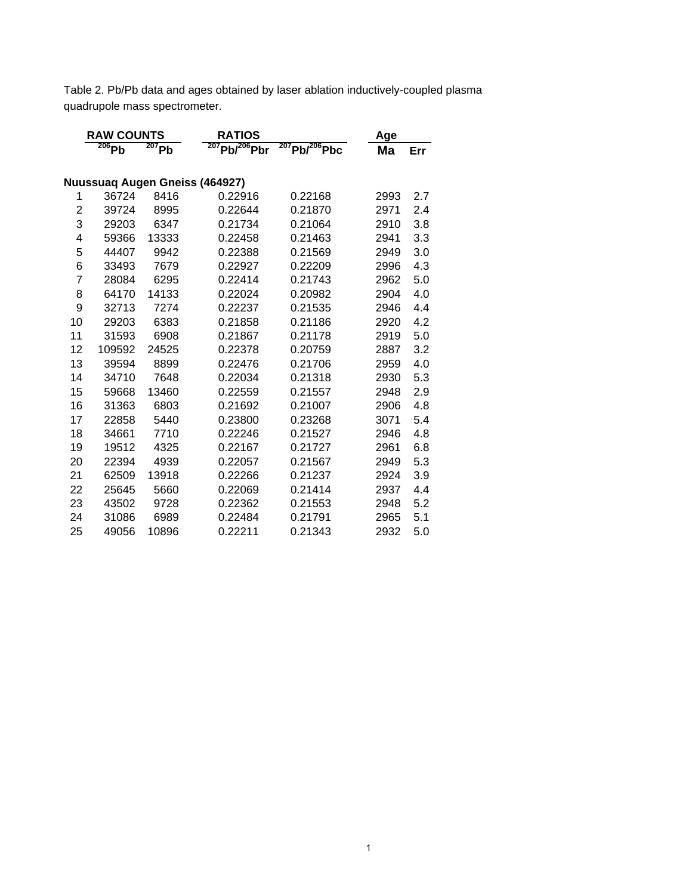Table 2. Pb/Pb data and ages obtained by laser ablation inductively-coupled plasma quadrupole mass spectrometer.

|                | <b>RAW COUNTS</b> |          | <b>RATIOS</b>                  |                           | Age  |     |  |
|----------------|-------------------|----------|--------------------------------|---------------------------|------|-----|--|
|                | $206$ Pb          | $207$ Pb | $207$ Pb/ $^{206}$ Pbr         | $^{207}$ Pb/ $^{206}$ Pbc | Ma   | Err |  |
|                |                   |          |                                |                           |      |     |  |
|                |                   |          | Nuussuaq Augen Gneiss (464927) |                           |      |     |  |
| 1              | 36724             | 8416     | 0.22916                        | 0.22168                   | 2993 | 2.7 |  |
| $\overline{2}$ | 39724             | 8995     | 0.22644                        | 0.21870                   | 2971 | 2.4 |  |
| 3              | 29203             | 6347     | 0.21734                        | 0.21064                   | 2910 | 3.8 |  |
| 4              | 59366             | 13333    | 0.22458                        | 0.21463                   | 2941 | 3.3 |  |
| 5              | 44407             | 9942     | 0.22388                        | 0.21569                   | 2949 | 3.0 |  |
| 6              | 33493             | 7679     | 0.22927                        | 0.22209                   | 2996 | 4.3 |  |
| 7              | 28084             | 6295     | 0.22414                        | 0.21743                   | 2962 | 5.0 |  |
| 8              | 64170             | 14133    | 0.22024                        | 0.20982                   | 2904 | 4.0 |  |
| 9              | 32713             | 7274     | 0.22237                        | 0.21535                   | 2946 | 4.4 |  |
| 10             | 29203             | 6383     | 0.21858                        | 0.21186                   | 2920 | 4.2 |  |
| 11             | 31593             | 6908     | 0.21867                        | 0.21178                   | 2919 | 5.0 |  |
| 12             | 109592            | 24525    | 0.22378                        | 0.20759                   | 2887 | 3.2 |  |
| 13             | 39594             | 8899     | 0.22476                        | 0.21706                   | 2959 | 4.0 |  |
| 14             | 34710             | 7648     | 0.22034                        | 0.21318                   | 2930 | 5.3 |  |
| 15             | 59668             | 13460    | 0.22559                        | 0.21557                   | 2948 | 2.9 |  |
| 16             | 31363             | 6803     | 0.21692                        | 0.21007                   | 2906 | 4.8 |  |
| 17             | 22858             | 5440     | 0.23800                        | 0.23268                   | 3071 | 5.4 |  |
| 18             | 34661             | 7710     | 0.22246                        | 0.21527                   | 2946 | 4.8 |  |
| 19             | 19512             | 4325     | 0.22167                        | 0.21727                   | 2961 | 6.8 |  |
| 20             | 22394             | 4939     | 0.22057                        | 0.21567                   | 2949 | 5.3 |  |
| 21             | 62509             | 13918    | 0.22266                        | 0.21237                   | 2924 | 3.9 |  |
| 22             | 25645             | 5660     | 0.22069                        | 0.21414                   | 2937 | 4.4 |  |
| 23             | 43502             | 9728     | 0.22362                        | 0.21553                   | 2948 | 5.2 |  |
| 24             | 31086             | 6989     | 0.22484                        | 0.21791                   | 2965 | 5.1 |  |
| 25             | 49056             | 10896    | 0.22211                        | 0.21343                   | 2932 | 5.0 |  |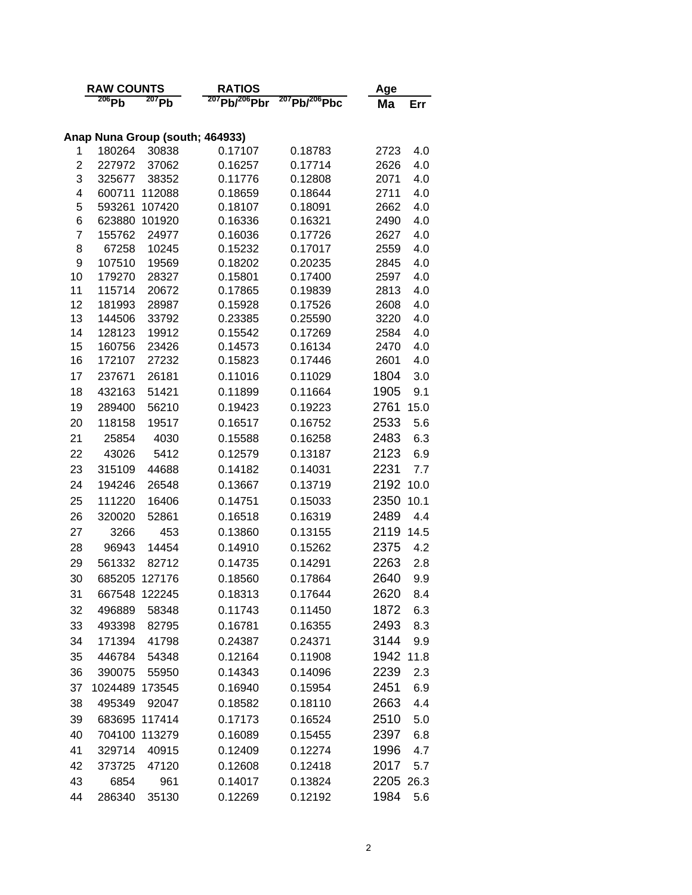|        | <b>RAW COUNTS</b> |                  | <b>RATIOS</b>                   |                           | Age                        |  |  |
|--------|-------------------|------------------|---------------------------------|---------------------------|----------------------------|--|--|
|        | $206$ Pb          | $207$ Pb         | $^{207}$ Pb/ $^{206}$ Pbr       | $^{207}$ Pb/ $^{206}$ Pbc | Ma<br>Err                  |  |  |
|        |                   |                  |                                 |                           |                            |  |  |
|        |                   |                  | Anap Nuna Group (south; 464933) |                           |                            |  |  |
| 1      | 180264            | 30838            | 0.17107                         | 0.18783                   | 2723<br>4.0                |  |  |
| 2      | 227972            | 37062            | 0.16257                         | 0.17714                   | 4.0<br>2626                |  |  |
| 3      | 325677            | 38352            | 0.11776                         | 0.12808                   | 4.0<br>2071                |  |  |
| 4<br>5 | 600711<br>593261  | 112088<br>107420 | 0.18659<br>0.18107              | 0.18644<br>0.18091        | 2711<br>4.0<br>2662<br>4.0 |  |  |
| 6      | 623880            | 101920           | 0.16336                         | 0.16321                   | 4.0<br>2490                |  |  |
| 7      | 155762            | 24977            | 0.16036                         | 0.17726                   | 2627<br>4.0                |  |  |
| 8      | 67258             | 10245            | 0.15232                         | 0.17017                   | 4.0<br>2559                |  |  |
| 9      | 107510            | 19569            | 0.18202                         | 0.20235                   | 4.0<br>2845                |  |  |
| 10     | 179270            | 28327            | 0.15801                         | 0.17400                   | 4.0<br>2597                |  |  |
| 11     | 115714            | 20672            | 0.17865                         | 0.19839                   | 2813<br>4.0                |  |  |
| 12     | 181993            | 28987            | 0.15928                         | 0.17526                   | 4.0<br>2608                |  |  |
| 13     | 144506            | 33792            | 0.23385                         | 0.25590                   | 3220<br>4.0                |  |  |
| 14     | 128123            | 19912            | 0.15542                         | 0.17269                   | 4.0<br>2584                |  |  |
| 15     | 160756            | 23426            | 0.14573                         | 0.16134                   | 4.0<br>2470                |  |  |
| 16     | 172107            | 27232            | 0.15823                         | 0.17446                   | 4.0<br>2601                |  |  |
| 17     | 237671            | 26181            | 0.11016                         | 0.11029                   | 1804<br>3.0                |  |  |
| 18     | 432163            | 51421            | 0.11899                         | 0.11664                   | 1905<br>9.1                |  |  |
| 19     | 289400            | 56210            | 0.19423                         | 0.19223                   | 2761<br>15.0               |  |  |
| 20     | 118158            | 19517            | 0.16517                         | 0.16752                   | 2533<br>5.6                |  |  |
| 21     | 25854             | 4030             | 0.15588                         | 0.16258                   | 2483<br>6.3                |  |  |
| 22     | 43026             | 5412             | 0.12579                         | 0.13187                   | 2123<br>6.9                |  |  |
| 23     | 315109            | 44688            | 0.14182                         | 0.14031                   | 2231<br>7.7                |  |  |
| 24     | 194246            | 26548            | 0.13667                         | 0.13719                   | 2192<br>10.0               |  |  |
| 25     | 111220            | 16406            | 0.14751                         | 0.15033                   | 10.1<br>2350               |  |  |
| 26     | 320020            | 52861            | 0.16518                         | 0.16319                   | 2489<br>4.4                |  |  |
| 27     | 3266              | 453              | 0.13860                         | 0.13155                   | 2119<br>14.5               |  |  |
| 28     | 96943             | 14454            | 0.14910                         | 0.15262                   | 2375<br>4.2                |  |  |
| 29     | 561332            | 82712            | 0.14735                         | 0.14291                   | 2263<br>2.8                |  |  |
| 30     | 685205            | 127176           | 0.18560                         | 0.17864                   | 2640<br>9.9                |  |  |
| 31     | 667548            | 122245           | 0.18313                         | 0.17644                   | 2620<br>8.4                |  |  |
| 32     | 496889            | 58348            | 0.11743                         | 0.11450                   | 1872<br>6.3                |  |  |
| 33     | 493398            | 82795            | 0.16781                         | 0.16355                   | 2493<br>8.3                |  |  |
| 34     | 171394            | 41798            | 0.24387                         | 0.24371                   | 3144<br>9.9                |  |  |
| 35     | 446784            | 54348            | 0.12164                         | 0.11908                   | 1942 11.8                  |  |  |
| 36     | 390075            | 55950            | 0.14343                         | 0.14096                   | 2239<br>2.3                |  |  |
| 37     | 1024489           | 173545           | 0.16940                         | 0.15954                   | 2451<br>6.9                |  |  |
| 38     | 495349            | 92047            | 0.18582                         | 0.18110                   | 2663<br>4.4                |  |  |
| 39     | 683695            | 117414           | 0.17173                         | 0.16524                   | 2510<br>5.0                |  |  |
| 40     | 704100            | 113279           | 0.16089                         | 0.15455                   | 2397<br>6.8                |  |  |
| 41     | 329714            | 40915            | 0.12409                         | 0.12274                   | 1996<br>4.7                |  |  |
| 42     | 373725            | 47120            | 0.12608                         | 0.12418                   | 2017<br>5.7                |  |  |
| 43     | 6854              | 961              | 0.14017                         | 0.13824                   | 2205<br>26.3               |  |  |
|        |                   |                  |                                 |                           |                            |  |  |
| 44     | 286340            | 35130            | 0.12269                         | 0.12192                   | 1984<br>5.6                |  |  |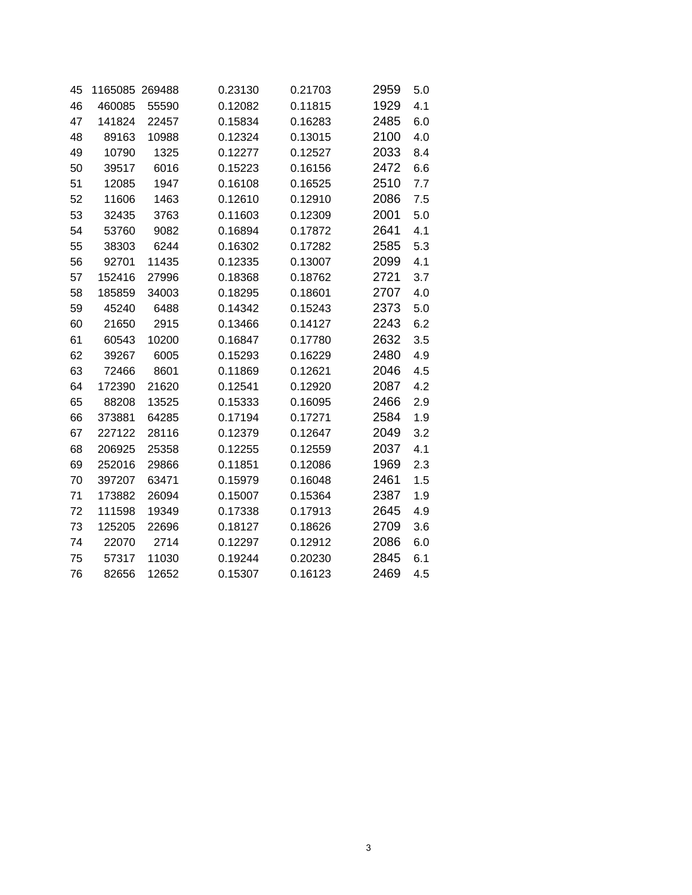| 45 | 1165085 269488 |       | 0.23130 | 0.21703 | 2959 | 5.0 |
|----|----------------|-------|---------|---------|------|-----|
| 46 | 460085         | 55590 | 0.12082 | 0.11815 | 1929 | 4.1 |
| 47 | 141824         | 22457 | 0.15834 | 0.16283 | 2485 | 6.0 |
| 48 | 89163          | 10988 | 0.12324 | 0.13015 | 2100 | 4.0 |
| 49 | 10790          | 1325  | 0.12277 | 0.12527 | 2033 | 8.4 |
| 50 | 39517          | 6016  | 0.15223 | 0.16156 | 2472 | 6.6 |
| 51 | 12085          | 1947  | 0.16108 | 0.16525 | 2510 | 7.7 |
| 52 | 11606          | 1463  | 0.12610 | 0.12910 | 2086 | 7.5 |
| 53 | 32435          | 3763  | 0.11603 | 0.12309 | 2001 | 5.0 |
| 54 | 53760          | 9082  | 0.16894 | 0.17872 | 2641 | 4.1 |
| 55 | 38303          | 6244  | 0.16302 | 0.17282 | 2585 | 5.3 |
| 56 | 92701          | 11435 | 0.12335 | 0.13007 | 2099 | 4.1 |
| 57 | 152416         | 27996 | 0.18368 | 0.18762 | 2721 | 3.7 |
| 58 | 185859         | 34003 | 0.18295 | 0.18601 | 2707 | 4.0 |
| 59 | 45240          | 6488  | 0.14342 | 0.15243 | 2373 | 5.0 |
| 60 | 21650          | 2915  | 0.13466 | 0.14127 | 2243 | 6.2 |
| 61 | 60543          | 10200 | 0.16847 | 0.17780 | 2632 | 3.5 |
| 62 | 39267          | 6005  | 0.15293 | 0.16229 | 2480 | 4.9 |
| 63 | 72466          | 8601  | 0.11869 | 0.12621 | 2046 | 4.5 |
| 64 | 172390         | 21620 | 0.12541 | 0.12920 | 2087 | 4.2 |
| 65 | 88208          | 13525 | 0.15333 | 0.16095 | 2466 | 2.9 |
| 66 | 373881         | 64285 | 0.17194 | 0.17271 | 2584 | 1.9 |
| 67 | 227122         | 28116 | 0.12379 | 0.12647 | 2049 | 3.2 |
| 68 | 206925         | 25358 | 0.12255 | 0.12559 | 2037 | 4.1 |
| 69 | 252016         | 29866 | 0.11851 | 0.12086 | 1969 | 2.3 |
| 70 | 397207         | 63471 | 0.15979 | 0.16048 | 2461 | 1.5 |
| 71 | 173882         | 26094 | 0.15007 | 0.15364 | 2387 | 1.9 |
| 72 | 111598         | 19349 | 0.17338 | 0.17913 | 2645 | 4.9 |
| 73 | 125205         | 22696 | 0.18127 | 0.18626 | 2709 | 3.6 |
| 74 | 22070          | 2714  | 0.12297 | 0.12912 | 2086 | 6.0 |
| 75 | 57317          | 11030 | 0.19244 | 0.20230 | 2845 | 6.1 |
| 76 | 82656          | 12652 | 0.15307 | 0.16123 | 2469 | 4.5 |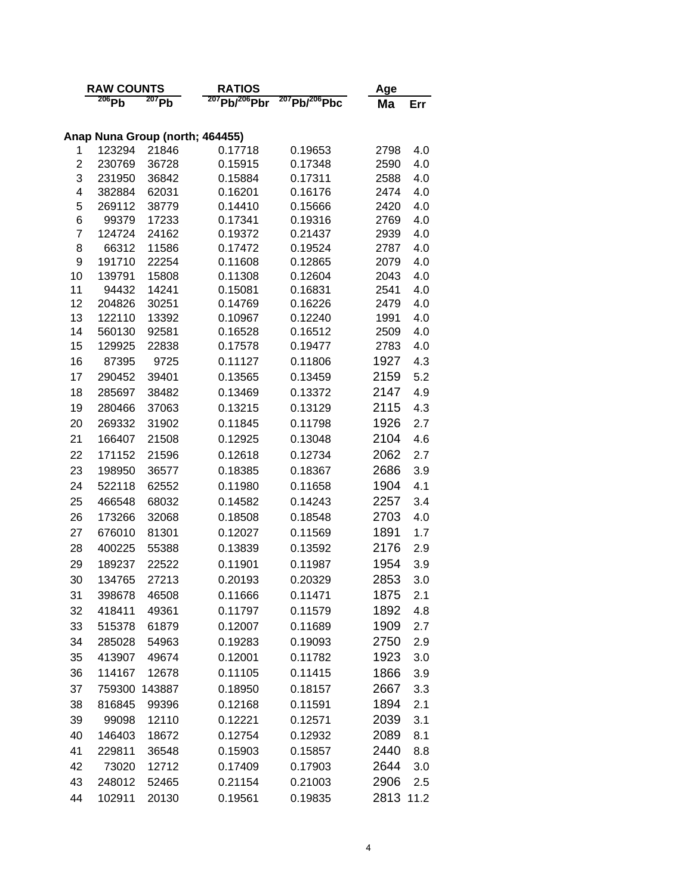|        | <b>RAW COUNTS</b> |                | <b>RATIOS</b>                         |                           | Age          |            |  |
|--------|-------------------|----------------|---------------------------------------|---------------------------|--------------|------------|--|
|        | $206$ Pb          | 207Pb          | <sup>207</sup> Pb/ <sup>206</sup> Pbr | $^{207}$ Pb/ $^{206}$ Pbc | Ma           | Err        |  |
|        |                   |                |                                       |                           |              |            |  |
|        |                   |                | Anap Nuna Group (north; 464455)       |                           |              |            |  |
| 1      | 123294            | 21846          | 0.17718                               | 0.19653                   | 2798         | 4.0        |  |
| 2      | 230769            | 36728          | 0.15915                               | 0.17348                   | 2590         | 4.0        |  |
| 3      | 231950            | 36842          | 0.15884                               | 0.17311                   | 2588         | 4.0        |  |
| 4      | 382884            | 62031          | 0.16201                               | 0.16176                   | 2474         | 4.0        |  |
| 5      | 269112            | 38779          | 0.14410                               | 0.15666                   | 2420         | 4.0        |  |
| 6<br>7 | 99379<br>124724   | 17233<br>24162 | 0.17341<br>0.19372                    | 0.19316<br>0.21437        | 2769<br>2939 | 4.0<br>4.0 |  |
| 8      | 66312             | 11586          | 0.17472                               | 0.19524                   | 2787         | 4.0        |  |
| 9      | 191710            | 22254          | 0.11608                               | 0.12865                   | 2079         | 4.0        |  |
| 10     | 139791            | 15808          | 0.11308                               | 0.12604                   | 2043         | 4.0        |  |
| 11     | 94432             | 14241          | 0.15081                               | 0.16831                   | 2541         | 4.0        |  |
| 12     | 204826            | 30251          | 0.14769                               | 0.16226                   | 2479         | 4.0        |  |
| 13     | 122110            | 13392          | 0.10967                               | 0.12240                   | 1991         | 4.0        |  |
| 14     | 560130            | 92581          | 0.16528                               | 0.16512                   | 2509         | 4.0        |  |
| 15     | 129925            | 22838          | 0.17578                               | 0.19477                   | 2783         | 4.0        |  |
| 16     | 87395             | 9725           | 0.11127                               | 0.11806                   | 1927         | 4.3        |  |
| 17     | 290452            | 39401          | 0.13565                               | 0.13459                   | 2159         | 5.2        |  |
| 18     | 285697            | 38482          | 0.13469                               | 0.13372                   | 2147         | 4.9        |  |
| 19     | 280466            | 37063          | 0.13215                               | 0.13129                   | 2115         | 4.3        |  |
| 20     | 269332            | 31902          | 0.11845                               | 0.11798                   | 1926         | 2.7        |  |
| 21     | 166407            | 21508          | 0.12925                               | 0.13048                   | 2104         | 4.6        |  |
| 22     | 171152            | 21596          | 0.12618                               | 0.12734                   | 2062         | 2.7        |  |
| 23     | 198950            | 36577          | 0.18385                               | 0.18367                   | 2686         | 3.9        |  |
| 24     | 522118            | 62552          | 0.11980                               | 0.11658                   | 1904         | 4.1        |  |
| 25     | 466548            | 68032          | 0.14582                               | 0.14243                   | 2257         | 3.4        |  |
| 26     | 173266            | 32068          | 0.18508                               | 0.18548                   | 2703         | 4.0        |  |
| 27     | 676010            | 81301          | 0.12027                               | 0.11569                   | 1891         | 1.7        |  |
| 28     | 400225            | 55388          | 0.13839                               | 0.13592                   | 2176         | 2.9        |  |
| 29     | 189237            | 22522          | 0.11901                               | 0.11987                   | 1954         | 3.9        |  |
| 30     | 134765            | 27213          | 0.20193                               | 0.20329                   | 2853         | 3.0        |  |
| 31     | 398678            | 46508          | 0.11666                               | 0.11471                   | 1875         | 2.1        |  |
| 32     | 418411            | 49361          | 0.11797                               | 0.11579                   | 1892         | 4.8        |  |
| 33     | 515378            | 61879          | 0.12007                               | 0.11689                   | 1909         | 2.7        |  |
| 34     | 285028            | 54963          | 0.19283                               | 0.19093                   | 2750         | 2.9        |  |
| 35     | 413907            | 49674          | 0.12001                               | 0.11782                   | 1923         | 3.0        |  |
| 36     | 114167            | 12678          | 0.11105                               | 0.11415                   | 1866         | 3.9        |  |
| 37     | 759300            | 143887         | 0.18950                               | 0.18157                   | 2667         | 3.3        |  |
| 38     | 816845            | 99396          | 0.12168                               | 0.11591                   | 1894         | 2.1        |  |
| 39     | 99098             | 12110          | 0.12221                               | 0.12571                   | 2039         | 3.1        |  |
| 40     | 146403            | 18672          | 0.12754                               | 0.12932                   | 2089         | 8.1        |  |
| 41     | 229811            | 36548          | 0.15903                               | 0.15857                   | 2440         | 8.8        |  |
| 42     | 73020             | 12712          | 0.17409                               | 0.17903                   | 2644         | 3.0        |  |
| 43     | 248012            |                | 0.21154                               |                           | 2906         | 2.5        |  |
| 44     |                   | 52465          |                                       | 0.21003                   |              |            |  |
|        | 102911            | 20130          | 0.19561                               | 0.19835                   | 2813         | 11.2       |  |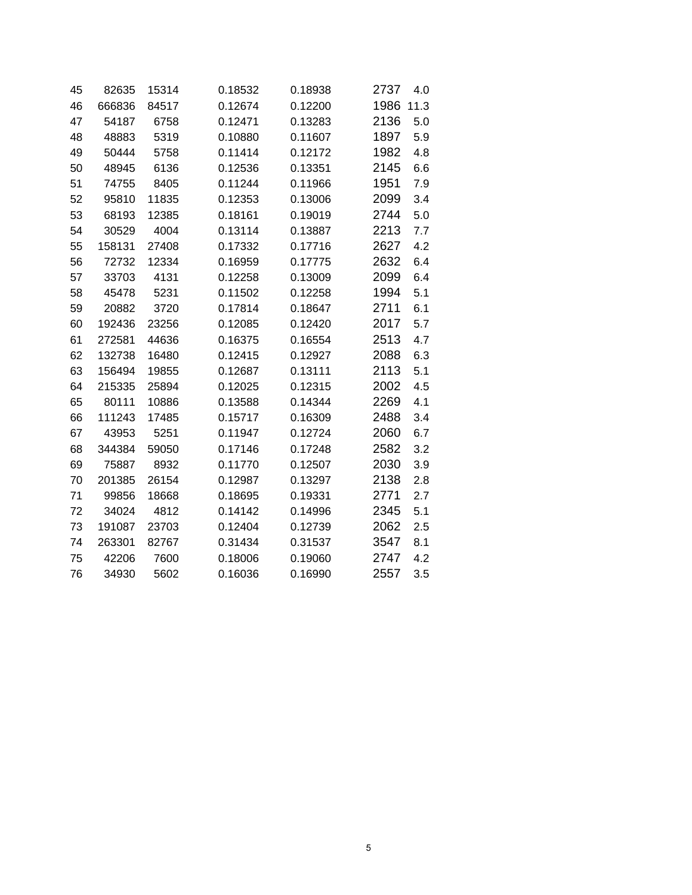| 45 | 82635  | 15314 | 0.18532 | 0.18938 | 2737<br>4.0  |
|----|--------|-------|---------|---------|--------------|
| 46 | 666836 | 84517 | 0.12674 | 0.12200 | 1986<br>11.3 |
| 47 | 54187  | 6758  | 0.12471 | 0.13283 | 2136<br>5.0  |
| 48 | 48883  | 5319  | 0.10880 | 0.11607 | 1897<br>5.9  |
| 49 | 50444  | 5758  | 0.11414 | 0.12172 | 1982<br>4.8  |
| 50 | 48945  | 6136  | 0.12536 | 0.13351 | 2145<br>6.6  |
| 51 | 74755  | 8405  | 0.11244 | 0.11966 | 1951<br>7.9  |
| 52 | 95810  | 11835 | 0.12353 | 0.13006 | 2099<br>3.4  |
| 53 | 68193  | 12385 | 0.18161 | 0.19019 | 2744<br>5.0  |
| 54 | 30529  | 4004  | 0.13114 | 0.13887 | 2213<br>7.7  |
| 55 | 158131 | 27408 | 0.17332 | 0.17716 | 2627<br>4.2  |
| 56 | 72732  | 12334 | 0.16959 | 0.17775 | 2632<br>6.4  |
| 57 | 33703  | 4131  | 0.12258 | 0.13009 | 2099<br>6.4  |
| 58 | 45478  | 5231  | 0.11502 | 0.12258 | 1994<br>5.1  |
| 59 | 20882  | 3720  | 0.17814 | 0.18647 | 2711<br>6.1  |
| 60 | 192436 | 23256 | 0.12085 | 0.12420 | 2017<br>5.7  |
| 61 | 272581 | 44636 | 0.16375 | 0.16554 | 2513<br>4.7  |
| 62 | 132738 | 16480 | 0.12415 | 0.12927 | 2088<br>6.3  |
| 63 | 156494 | 19855 | 0.12687 | 0.13111 | 2113<br>5.1  |
| 64 | 215335 | 25894 | 0.12025 | 0.12315 | 2002<br>4.5  |
| 65 | 80111  | 10886 | 0.13588 | 0.14344 | 2269<br>4.1  |
| 66 | 111243 | 17485 | 0.15717 | 0.16309 | 2488<br>3.4  |
| 67 | 43953  | 5251  | 0.11947 | 0.12724 | 2060<br>6.7  |
| 68 | 344384 | 59050 | 0.17146 | 0.17248 | 2582<br>3.2  |
| 69 | 75887  | 8932  | 0.11770 | 0.12507 | 2030<br>3.9  |
| 70 | 201385 | 26154 | 0.12987 | 0.13297 | 2138<br>2.8  |
| 71 | 99856  | 18668 | 0.18695 | 0.19331 | 2771<br>2.7  |
| 72 | 34024  | 4812  | 0.14142 | 0.14996 | 2345<br>5.1  |
| 73 | 191087 | 23703 | 0.12404 | 0.12739 | 2062<br>2.5  |
| 74 | 263301 | 82767 | 0.31434 | 0.31537 | 3547<br>8.1  |
| 75 | 42206  | 7600  | 0.18006 | 0.19060 | 2747<br>4.2  |
| 76 | 34930  | 5602  | 0.16036 | 0.16990 | 2557<br>3.5  |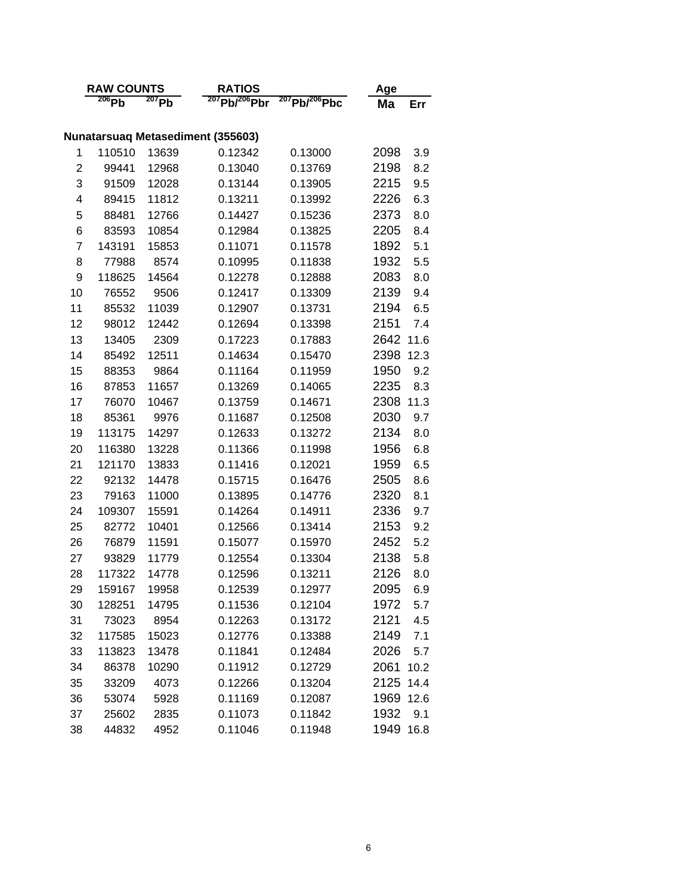| <b>RAW COUNTS</b> |                                          |              | <b>RATIOS</b>             | Age                       |              |             |  |  |
|-------------------|------------------------------------------|--------------|---------------------------|---------------------------|--------------|-------------|--|--|
|                   | 206Pb                                    | $207$ Pb     | $^{207}$ Pb/ $^{206}$ Pbr | $^{207}$ Pb/ $^{206}$ Pbc | Ma           | Err         |  |  |
|                   |                                          |              |                           |                           |              |             |  |  |
|                   | <b>Nunatarsuaq Metasediment (355603)</b> |              |                           |                           |              |             |  |  |
| 1                 | 110510                                   | 13639        | 0.12342                   | 0.13000                   | 2098         | 3.9         |  |  |
| 2                 | 99441                                    | 12968        | 0.13040                   | 0.13769                   | 2198         | 8.2         |  |  |
| 3                 | 91509                                    | 12028        | 0.13144                   | 0.13905                   | 2215         | 9.5         |  |  |
| 4                 | 89415                                    | 11812        | 0.13211                   | 0.13992                   | 2226         | 6.3         |  |  |
| 5                 | 88481                                    | 12766        | 0.14427                   | 0.15236                   | 2373         | 8.0         |  |  |
| 6                 | 83593                                    | 10854        | 0.12984                   | 0.13825                   | 2205         | 8.4         |  |  |
| 7                 | 143191                                   | 15853        | 0.11071                   | 0.11578                   | 1892         | 5.1         |  |  |
| 8                 | 77988                                    | 8574         | 0.10995                   | 0.11838                   | 1932         | 5.5         |  |  |
| 9                 | 118625                                   | 14564        | 0.12278                   | 0.12888                   | 2083         | 8.0         |  |  |
| 10                | 76552                                    | 9506         | 0.12417                   | 0.13309                   | 2139         | 9.4         |  |  |
| 11                | 85532                                    | 11039        | 0.12907                   | 0.13731                   | 2194         | 6.5         |  |  |
| 12                | 98012                                    | 12442        | 0.12694                   | 0.13398                   | 2151         | 7.4         |  |  |
| 13                | 13405                                    | 2309         | 0.17223                   | 0.17883                   | 2642         | 11.6        |  |  |
| 14                | 85492                                    | 12511        | 0.14634                   | 0.15470                   | 2398         | 12.3        |  |  |
| 15                | 88353                                    | 9864         | 0.11164                   | 0.11959                   | 1950         | 9.2         |  |  |
| 16                | 87853                                    | 11657        | 0.13269                   | 0.14065                   | 2235         | 8.3         |  |  |
| 17                | 76070                                    | 10467        | 0.13759                   | 0.14671                   | 2308         | 11.3        |  |  |
| 18                | 85361                                    | 9976         | 0.11687                   | 0.12508                   | 2030         | 9.7         |  |  |
| 19                | 113175                                   | 14297        | 0.12633                   | 0.13272                   | 2134         | 8.0         |  |  |
| 20                | 116380                                   | 13228        | 0.11366                   | 0.11998                   | 1956         | 6.8         |  |  |
| 21                | 121170                                   | 13833        | 0.11416                   | 0.12021                   | 1959         | 6.5         |  |  |
| 22                | 92132                                    | 14478        | 0.15715                   | 0.16476                   | 2505         | 8.6         |  |  |
| 23                | 79163                                    | 11000        | 0.13895                   | 0.14776                   | 2320         | 8.1         |  |  |
| 24                | 109307                                   | 15591        | 0.14264                   | 0.14911                   | 2336         | 9.7         |  |  |
| 25                | 82772                                    | 10401        | 0.12566                   | 0.13414                   | 2153         | 9.2         |  |  |
| 26                | 76879                                    | 11591        | 0.15077                   | 0.15970                   | 2452         | 5.2         |  |  |
| 27                | 93829                                    | 11779        | 0.12554                   | 0.13304                   | 2138         | 5.8         |  |  |
| 28                | 117322                                   | 14778        | 0.12596                   | 0.13211                   | 2126         | 8.0         |  |  |
| 29                | 159167                                   | 19958        | 0.12539                   | 0.12977                   | 2095         | 6.9         |  |  |
| 30                | 128251                                   | 14795        | 0.11536                   | 0.12104                   | 1972         | 5.7         |  |  |
| 31                | 73023                                    | 8954         | 0.12263                   | 0.13172                   | 2121         | 4.5         |  |  |
| 32                | 117585                                   | 15023        | 0.12776                   | 0.13388                   | 2149         | 7.1         |  |  |
| 33                | 113823                                   | 13478        | 0.11841                   | 0.12484                   | 2026         | 5.7         |  |  |
| 34                | 86378                                    | 10290        | 0.11912                   | 0.12729                   | 2061         | 10.2        |  |  |
| 35                | 33209                                    | 4073         | 0.12266                   | 0.13204                   | 2125         | 14.4        |  |  |
| 36                | 53074                                    | 5928         | 0.11169                   | 0.12087                   | 1969         | 12.6        |  |  |
|                   |                                          |              |                           |                           |              |             |  |  |
|                   |                                          |              |                           |                           |              |             |  |  |
| 37<br>38          | 25602<br>44832                           | 2835<br>4952 | 0.11073<br>0.11046        | 0.11842<br>0.11948        | 1932<br>1949 | 9.1<br>16.8 |  |  |